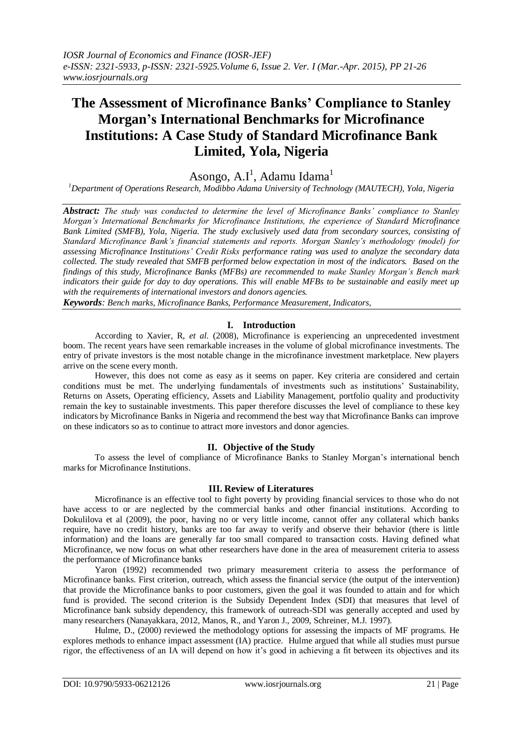# **The Assessment of Microfinance Banks' Compliance to Stanley Morgan's International Benchmarks for Microfinance Institutions: A Case Study of Standard Microfinance Bank Limited, Yola, Nigeria**

Asongo, A.I<sup>1</sup>, Adamu Idama<sup>1</sup>

*<sup>1</sup>Department of Operations Research, Modibbo Adama University of Technology (MAUTECH), Yola, Nigeria*

*Abstract: The study was conducted to determine the level of Microfinance Banks' compliance to Stanley Morgan's International Benchmarks for Microfinance Institutions, the experience of Standard Microfinance Bank Limited (SMFB), Yola, Nigeria. The study exclusively used data from secondary sources, consisting of Standard Microfinance Bank's financial statements and reports. Morgan Stanley's methodology (model) for assessing Microfinance Institutions' Credit Risks performance rating was used to analyze the secondary data collected. The study revealed that SMFB performed below expectation in most of the indicators. Based on the findings of this study, Microfinance Banks (MFBs) are recommended to make Stanley Morgan's Bench mark indicators their guide for day to day operations. This will enable MFBs to be sustainable and easily meet up with the requirements of international investors and donors agencies.*

*Keywords: Bench marks, Microfinance Banks, Performance Measurement, Indicators,*

#### **I. Introduction**

According to Xavier, R, *et al.* (2008), Microfinance is experiencing an unprecedented investment boom. The recent years have seen remarkable increases in the volume of global microfinance investments. The entry of private investors is the most notable change in the microfinance investment marketplace. New players arrive on the scene every month.

However, this does not come as easy as it seems on paper. Key criteria are considered and certain conditions must be met. The underlying fundamentals of investments such as institutions' Sustainability, Returns on Assets, Operating efficiency, Assets and Liability Management, portfolio quality and productivity remain the key to sustainable investments. This paper therefore discusses the level of compliance to these key indicators by Microfinance Banks in Nigeria and recommend the best way that Microfinance Banks can improve on these indicators so as to continue to attract more investors and donor agencies.

### **II. Objective of the Study**

To assess the level of compliance of Microfinance Banks to Stanley Morgan's international bench marks for Microfinance Institutions.

### **III. Review of Literatures**

Microfinance is an effective tool to fight poverty by providing financial services to those who do not have access to or are neglected by the commercial banks and other financial institutions. According to Dokulilova et al (2009), the poor, having no or very little income, cannot offer any collateral which banks require, have no credit history, banks are too far away to verify and observe their behavior (there is little information) and the loans are generally far too small compared to transaction costs. Having defined what Microfinance, we now focus on what other researchers have done in the area of measurement criteria to assess the performance of Microfinance banks

Yaron (1992) recommended two primary measurement criteria to assess the performance of Microfinance banks. First criterion, outreach, which assess the financial service (the output of the intervention) that provide the Microfinance banks to poor customers, given the goal it was founded to attain and for which fund is provided. The second criterion is the Subsidy Dependent Index (SDI) that measures that level of Microfinance bank subsidy dependency, this framework of outreach-SDI was generally accepted and used by many researchers (Nanayakkara, 2012, Manos, R., and Yaron J., 2009, Schreiner, M.J. 1997).

Hulme, D., (2000) reviewed the methodology options for assessing the impacts of MF programs. He explores methods to enhance impact assessment (IA) practice. Hulme argued that while all studies must pursue rigor, the effectiveness of an IA will depend on how it's good in achieving a fit between its objectives and its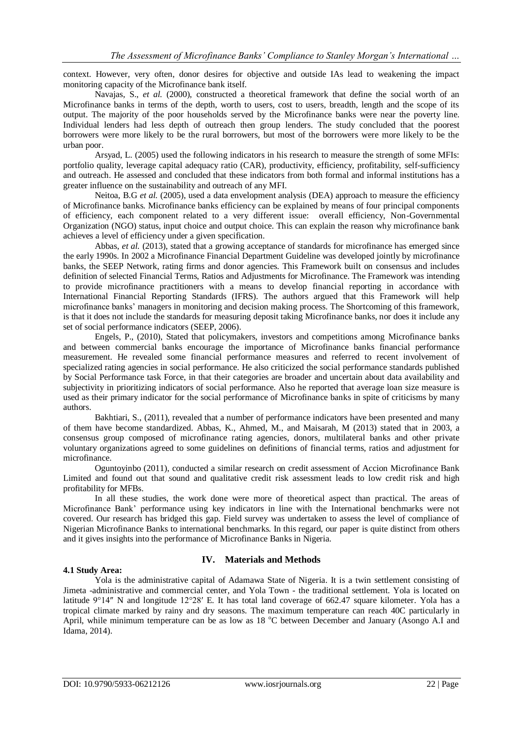context. However, very often, donor desires for objective and outside IAs lead to weakening the impact monitoring capacity of the Microfinance bank itself.

Navajas, S., *et al.* (2000), constructed a theoretical framework that define the social worth of an Microfinance banks in terms of the depth, worth to users, cost to users, breadth, length and the scope of its output. The majority of the poor households served by the Microfinance banks were near the poverty line. Individual lenders had less depth of outreach then group lenders. The study concluded that the poorest borrowers were more likely to be the rural borrowers, but most of the borrowers were more likely to be the urban poor.

Arsyad, L. (2005) used the following indicators in his research to measure the strength of some MFIs: portfolio quality, leverage capital adequacy ratio (CAR), productivity, efficiency, profitability, self-sufficiency and outreach. He assessed and concluded that these indicators from both formal and informal institutions has a greater influence on the sustainability and outreach of any MFI.

Neitoa, B.G *et al.* (2005), used a data envelopment analysis (DEA) approach to measure the efficiency of Microfinance banks. Microfinance banks efficiency can be explained by means of four principal components of efficiency, each component related to a very different issue: overall efficiency, Non-Governmental Organization (NGO) status, input choice and output choice. This can explain the reason why microfinance bank achieves a level of efficiency under a given specification.

Abbas, *et al.* (2013), stated that a growing acceptance of standards for microfinance has emerged since the early 1990s. In 2002 a Microfinance Financial Department Guideline was developed jointly by microfinance banks, the SEEP Network, rating firms and donor agencies. This Framework built on consensus and includes definition of selected Financial Terms, Ratios and Adjustments for Microfinance. The Framework was intending to provide microfinance practitioners with a means to develop financial reporting in accordance with International Financial Reporting Standards (IFRS). The authors argued that this Framework will help microfinance banks' managers in monitoring and decision making process. The Shortcoming of this framework, is that it does not include the standards for measuring deposit taking Microfinance banks, nor does it include any set of social performance indicators (SEEP, 2006).

Engels, P., (2010), Stated that policymakers, investors and competitions among Microfinance banks and between commercial banks encourage the importance of Microfinance banks financial performance measurement. He revealed some financial performance measures and referred to recent involvement of specialized rating agencies in social performance. He also criticized the social performance standards published by Social Performance task Force, in that their categories are broader and uncertain about data availability and subjectivity in prioritizing indicators of social performance. Also he reported that average loan size measure is used as their primary indicator for the social performance of Microfinance banks in spite of criticisms by many authors.

Bakhtiari, S., (2011), revealed that a number of performance indicators have been presented and many of them have become standardized. Abbas, K., Ahmed, M., and Maisarah, M (2013) stated that in 2003, a consensus group composed of microfinance rating agencies, donors, multilateral banks and other private voluntary organizations agreed to some guidelines on definitions of financial terms, ratios and adjustment for microfinance.

Oguntoyinbo (2011), conducted a similar research on credit assessment of Accion Microfinance Bank Limited and found out that sound and qualitative credit risk assessment leads to low credit risk and high profitability for MFBs.

In all these studies, the work done were more of theoretical aspect than practical. The areas of Microfinance Bank' performance using key indicators in line with the International benchmarks were not covered. Our research has bridged this gap. Field survey was undertaken to assess the level of compliance of Nigerian Microfinance Banks to international benchmarks. In this regard, our paper is quite distinct from others and it gives insights into the performance of Microfinance Banks in Nigeria.

### **4.1 Study Area:**

### **IV. Materials and Methods**

Yola is the administrative capital of Adamawa State of Nigeria. It is a twin settlement consisting of Jimeta -administrative and commercial center, and Yola Town - the traditional settlement. Yola is located on latitude 9°14″ N and longitude 12°28′ E. It has total land coverage of 662.47 square kilometer. Yola has a tropical climate marked by rainy and dry seasons. The maximum temperature can reach 40C particularly in April, while minimum temperature can be as low as 18 °C between December and January (Asongo A.I and Idama, 2014).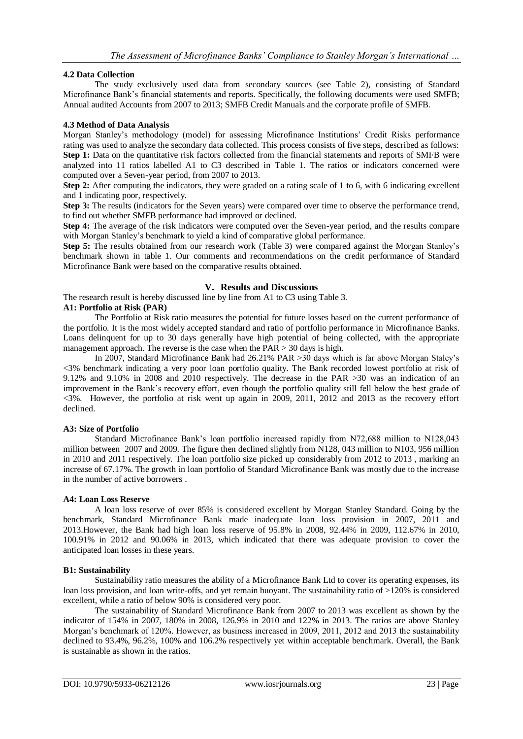#### **4.2 Data Collection**

The study exclusively used data from secondary sources (see Table 2), consisting of Standard Microfinance Bank's financial statements and reports. Specifically, the following documents were used SMFB; Annual audited Accounts from 2007 to 2013; SMFB Credit Manuals and the corporate profile of SMFB.

#### **4.3 Method of Data Analysis**

Morgan Stanley's methodology (model) for assessing Microfinance Institutions' Credit Risks performance rating was used to analyze the secondary data collected. This process consists of five steps, described as follows: **Step 1:** Data on the quantitative risk factors collected from the financial statements and reports of SMFB were analyzed into 11 ratios labelled A1 to C3 described in Table 1. The ratios or indicators concerned were computed over a Seven-year period, from 2007 to 2013.

**Step 2:** After computing the indicators, they were graded on a rating scale of 1 to 6, with 6 indicating excellent and 1 indicating poor, respectively.

**Step 3:** The results (indicators for the Seven years) were compared over time to observe the performance trend, to find out whether SMFB performance had improved or declined.

**Step 4:** The average of the risk indicators were computed over the Seven-year period, and the results compare with Morgan Stanley's benchmark to yield a kind of comparative global performance.

**Step 5:** The results obtained from our research work (Table 3) were compared against the Morgan Stanley's benchmark shown in table 1. Our comments and recommendations on the credit performance of Standard Microfinance Bank were based on the comparative results obtained.

#### **V. Results and Discussions**

The research result is hereby discussed line by line from A1 to C3 using Table 3.

#### **A1: Portfolio at Risk (PAR)**

The Portfolio at Risk ratio measures the potential for future losses based on the current performance of the portfolio. It is the most widely accepted standard and ratio of portfolio performance in Microfinance Banks. Loans delinquent for up to 30 days generally have high potential of being collected, with the appropriate management approach. The reverse is the case when the  $PAR > 30$  days is high.

In 2007, Standard Microfinance Bank had 26.21% PAR >30 days which is far above Morgan Staley's <3% benchmark indicating a very poor loan portfolio quality. The Bank recorded lowest portfolio at risk of 9.12% and 9.10% in 2008 and 2010 respectively. The decrease in the PAR >30 was an indication of an improvement in the Bank's recovery effort, even though the portfolio quality still fell below the best grade of <3%. However, the portfolio at risk went up again in 2009, 2011, 2012 and 2013 as the recovery effort declined.

#### **A3: Size of Portfolio**

Standard Microfinance Bank's loan portfolio increased rapidly from N72,688 million to N128,043 million between 2007 and 2009. The figure then declined slightly from N128, 043 million to N103, 956 million in 2010 and 2011 respectively. The loan portfolio size picked up considerably from 2012 to 2013 , marking an increase of 67.17%. The growth in loan portfolio of Standard Microfinance Bank was mostly due to the increase in the number of active borrowers .

#### **A4: Loan Loss Reserve**

A loan loss reserve of over 85% is considered excellent by Morgan Stanley Standard. Going by the benchmark, Standard Microfinance Bank made inadequate loan loss provision in 2007, 2011 and 2013.However, the Bank had high loan loss reserve of 95.8% in 2008, 92.44% in 2009, 112.67% in 2010, 100.91% in 2012 and 90.06% in 2013, which indicated that there was adequate provision to cover the anticipated loan losses in these years.

### **B1: Sustainability**

Sustainability ratio measures the ability of a Microfinance Bank Ltd to cover its operating expenses, its loan loss provision, and loan write-offs, and yet remain buoyant. The sustainability ratio of >120% is considered excellent, while a ratio of below 90% is considered very poor.

The sustainability of Standard Microfinance Bank from 2007 to 2013 was excellent as shown by the indicator of 154% in 2007, 180% in 2008, 126.9% in 2010 and 122% in 2013. The ratios are above Stanley Morgan's benchmark of 120%. However, as business increased in 2009, 2011, 2012 and 2013 the sustainability declined to 93.4%, 96.2%, 100% and 106.2% respectively yet within acceptable benchmark. Overall, the Bank is sustainable as shown in the ratios.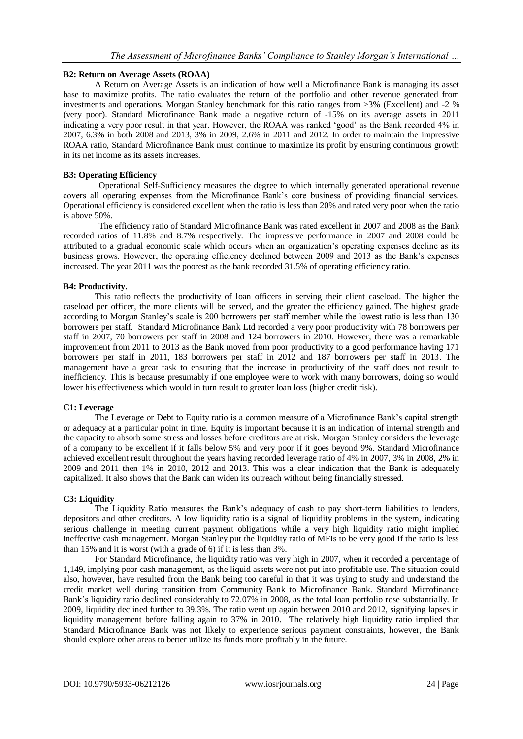#### **B2: Return on Average Assets (ROAA)**

A Return on Average Assets is an indication of how well a Microfinance Bank is managing its asset base to maximize profits. The ratio evaluates the return of the portfolio and other revenue generated from investments and operations. Morgan Stanley benchmark for this ratio ranges from >3% (Excellent) and -2 % (very poor). Standard Microfinance Bank made a negative return of -15% on its average assets in 2011 indicating a very poor result in that year. However, the ROAA was ranked 'good' as the Bank recorded 4% in 2007, 6.3% in both 2008 and 2013, 3% in 2009, 2.6% in 2011 and 2012. In order to maintain the impressive ROAA ratio, Standard Microfinance Bank must continue to maximize its profit by ensuring continuous growth in its net income as its assets increases.

#### **B3: Operating Efficiency**

Operational Self-Sufficiency measures the degree to which internally generated operational revenue covers all operating expenses from the Microfinance Bank's core business of providing financial services. Operational efficiency is considered excellent when the ratio is less than 20% and rated very poor when the ratio is above 50%.

The efficiency ratio of Standard Microfinance Bank was rated excellent in 2007 and 2008 as the Bank recorded ratios of 11.8% and 8.7% respectively. The impressive performance in 2007 and 2008 could be attributed to a gradual economic scale which occurs when an organization's operating expenses decline as its business grows. However, the operating efficiency declined between 2009 and 2013 as the Bank's expenses increased. The year 2011 was the poorest as the bank recorded 31.5% of operating efficiency ratio.

#### **B4: Productivity.**

This ratio reflects the productivity of loan officers in serving their client caseload. The higher the caseload per officer, the more clients will be served, and the greater the efficiency gained. The highest grade according to Morgan Stanley's scale is 200 borrowers per staff member while the lowest ratio is less than 130 borrowers per staff. Standard Microfinance Bank Ltd recorded a very poor productivity with 78 borrowers per staff in 2007, 70 borrowers per staff in 2008 and 124 borrowers in 2010. However, there was a remarkable improvement from 2011 to 2013 as the Bank moved from poor productivity to a good performance having 171 borrowers per staff in 2011, 183 borrowers per staff in 2012 and 187 borrowers per staff in 2013. The management have a great task to ensuring that the increase in productivity of the staff does not result to inefficiency. This is because presumably if one employee were to work with many borrowers, doing so would lower his effectiveness which would in turn result to greater loan loss (higher credit risk).

### **C1: Leverage**

The Leverage or Debt to Equity ratio is a common measure of a Microfinance Bank's capital strength or adequacy at a particular point in time. Equity is important because it is an indication of internal strength and the capacity to absorb some stress and losses before creditors are at risk. Morgan Stanley considers the leverage of a company to be excellent if it falls below 5% and very poor if it goes beyond 9%. Standard Microfinance achieved excellent result throughout the years having recorded leverage ratio of 4% in 2007, 3% in 2008, 2% in 2009 and 2011 then 1% in 2010, 2012 and 2013. This was a clear indication that the Bank is adequately capitalized. It also shows that the Bank can widen its outreach without being financially stressed.

#### **C3: Liquidity**

The Liquidity Ratio measures the Bank's adequacy of cash to pay short-term liabilities to lenders, depositors and other creditors. A low liquidity ratio is a signal of liquidity problems in the system, indicating serious challenge in meeting current payment obligations while a very high liquidity ratio might implied ineffective cash management. Morgan Stanley put the liquidity ratio of MFIs to be very good if the ratio is less than 15% and it is worst (with a grade of 6) if it is less than 3%.

For Standard Microfinance, the liquidity ratio was very high in 2007, when it recorded a percentage of 1,149, implying poor cash management, as the liquid assets were not put into profitable use. The situation could also, however, have resulted from the Bank being too careful in that it was trying to study and understand the credit market well during transition from Community Bank to Microfinance Bank. Standard Microfinance Bank's liquidity ratio declined considerably to 72.07% in 2008, as the total loan portfolio rose substantially. In 2009, liquidity declined further to 39.3%. The ratio went up again between 2010 and 2012, signifying lapses in liquidity management before falling again to 37% in 2010. The relatively high liquidity ratio implied that Standard Microfinance Bank was not likely to experience serious payment constraints, however, the Bank should explore other areas to better utilize its funds more profitably in the future.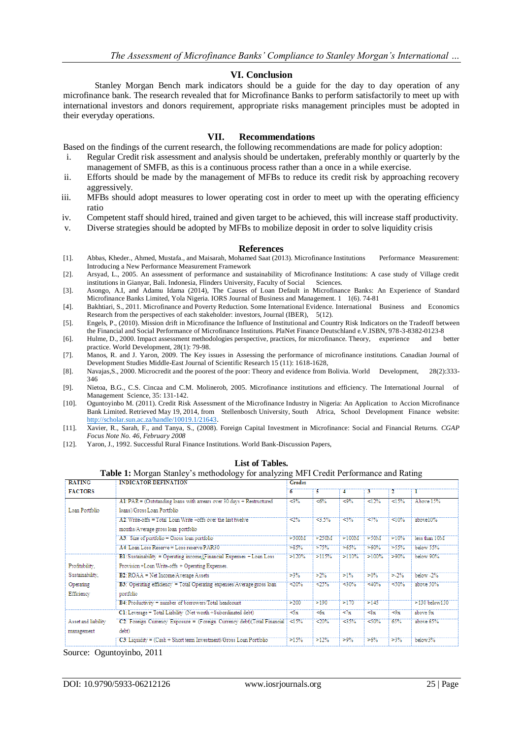#### **VI. Conclusion**

Stanley Morgan Bench mark indicators should be a guide for the day to day operation of any microfinance bank. The research revealed that for Microfinance Banks to perform satisfactorily to meet up with international investors and donors requirement, appropriate risks management principles must be adopted in their everyday operations.

#### **VII. Recommendations**

Based on the findings of the current research, the following recommendations are made for policy adoption:

- i. Regular Credit risk assessment and analysis should be undertaken, preferably monthly or quarterly by the management of SMFB, as this is a continuous process rather than a once in a while exercise.
- ii. Efforts should be made by the management of MFBs to reduce its credit risk by approaching recovery aggressively.
- iii. MFBs should adopt measures to lower operating cost in order to meet up with the operating efficiency ratio
- iv. Competent staff should hired, trained and given target to be achieved, this will increase staff productivity.
- v. Diverse strategies should be adopted by MFBs to mobilize deposit in order to solve liquidity crisis

#### **References**

- [1]. Abbas, Kheder., Ahmed, Mustafa., and Maisarah, Mohamed Saat (2013). Microfinance Institutions Performance Measurement: Introducing a New Performance Measurement Framework
- [2]. Arsyad, L., 2005. An assessment of performance and sustainability of Microfinance Institutions: A case study of Village credit institutions in Gianyar, Bali. Indonesia, Flinders University, Faculty of Social Sciences.
- [3]. Asongo, A.I, and Adamu Idama (2014), The Causes of Loan Default in Microfinance Banks: An Experience of Standard Microfinance Banks Limited, Yola Nigeria. IORS Journal of Business and Management. 1 1(6). 74-81
- [4]. Bakhtiari, S., 2011. Microfinance and Poverty Reduction. Some International Evidence. International Business and Economics Research from the perspectives of each stakeholder: investors, Journal (IBER), 5(12).
- [5]. Engels, P., (2010). Mission drift in Microfinance the Influence of Institutional and Country Risk Indicators on the Tradeoff between the Financial and Social Performance of Microfinance Institutions. PlaNet Finance Deutschland e.V.ISBN, 978-3-8382-0123-8
- [6]. Hulme, D., 2000. Impact assessment methodologies perspective, practices, for microfinance. Theory, experience and better practice. World Development, 28(1): 79-98.
- [7]. Manos, R. and J. Yaron, 2009. The Key issues in Assessing the performance of microfinance institutions. Canadian Journal of Development Studies Middle-East Journal of Scientific Research 15 (11): 1618-1628,
- [8]. Navajas,S., 2000. Microcredit and the poorest of the poor: Theory and evidence from Bolivia. World Development, 28(2):333- 346
- [9]. Nietoa, B.G., C.S. Cincaa and C.M. Molinerob, 2005. Microfinance institutions and efficiency. The International Journal of Management Science, 35: 131-142.
- [10]. Oguntoyinbo M. (2011). Credit Risk Assessment of the Microfinance Industry in Nigeria: An Application to Accion Microfinance Bank Limited. Retrieved May 19, 2014, from Stellenbosch University, South Africa, School Development Finance website: [http://scholar.sun.ac.za/handle/10019.1/21643.](http://scholar.sun.ac.za/handle/10019.1/21643)
- [11]. Xavier, R., Sarah, F., and Tanya, S., (2008). Foreign Capital Investment in Microfinance: Social and Financial Returns. *CGAP Focus Note No. 46, February 2008*
- [12]. Yaron, J., 1992. Successful Rural Finance Institutions. World Bank-Discussion Papers,

| <b>Table 1:</b> Morgan Stamey s memodology for analyzing MFT Credit Ferformance and Kating |                                                                          |                     |          |         |                       |         |                    |  |  |
|--------------------------------------------------------------------------------------------|--------------------------------------------------------------------------|---------------------|----------|---------|-----------------------|---------|--------------------|--|--|
| <b>RATING</b>                                                                              | <b>INDICATOR DEFINATION</b>                                              | Grades              |          |         |                       |         |                    |  |  |
| <b>FACTORS</b>                                                                             |                                                                          | 6                   | 5.       | 4       | 3.                    | 2.      |                    |  |  |
|                                                                                            | A1: PAR = (Outstanding loans with arrears over 30 days + Restructured    | $-3%$               | <6%      | $-9%$   | 12%                   | 15%     | Above 15%          |  |  |
| Loan Portfolio                                                                             | loans)/Gross Loan Portfolio                                              |                     |          |         |                       |         |                    |  |  |
|                                                                                            | A2: Write-offs = Total Loan Write -offs over the last twelve             | $\approx 2\%$       | 3.5%     | 3%      | 27%                   | $10\%$  | above10%           |  |  |
|                                                                                            | months/Average gross loan portfolio                                      |                     |          |         |                       |         |                    |  |  |
|                                                                                            | A3: Size of portfolio = Gross loan portfolio                             | >300M               | $>250$ M | >100M   | >50M                  | 510%    | less than 10M      |  |  |
|                                                                                            | A4: Loan Loss Reserve = Loss reserve PAR30                               | >85%                | $> 75\%$ | $>65\%$ | $>60\%$               | $>55\%$ | below 55%          |  |  |
|                                                                                            | BI: Sustainability = Operating income (Financial Expenses + Loan Loss    | $>120\%$            | >115%    | >110%   | $>100\%$              | $-90%$  | below 90%          |  |  |
| Profitability,                                                                             | Provision +Loan Write-offs + Operating Expenses.                         |                     |          |         |                       |         |                    |  |  |
| Sustainability,                                                                            | <b>B2: ROAA</b> = Net Income/Average Assets                              |                     |          | $>1\%$  | $>0\%$                | $>2\%$  | below 2%           |  |  |
| Operating                                                                                  | B3: Operating efficiency = Total Operating expenses/Average gross loan   | $-20%$              | 25%      | $-30\%$ | $-40%$                | 30%     | above 50%          |  |  |
| Efficiency                                                                                 | portfolio                                                                |                     |          |         |                       |         |                    |  |  |
|                                                                                            | B4: Productivity = number of borrowers/Total headcount                   | 5200                | >190     | 5170    | >145                  |         | $>130$ below $130$ |  |  |
|                                                                                            | C1: Leverage = Total Liability (Net worth +Subordinated debt)            | $\leq$ <sub>X</sub> | < 6x     | 27x     | $\leq$ <sub>8</sub> x | $-9x$   | above 9x           |  |  |
| Asset and liability                                                                        | C2: Foreign Currency Exposure = (Foreign Currency debt)(Total Financial) |                     | $-20%$   | $-35%$  | $30\%$                | 65%     | above 65%          |  |  |
| management                                                                                 | debt)                                                                    |                     |          |         |                       |         |                    |  |  |
|                                                                                            | $C3$ : Liquidity = $(Cash + Short term Investment)$ Gross Loan Portfolio | $>15\%$             | >12%     | $>9\%$  | >6%                   | $>3\%$  | below3%            |  |  |

#### **List of Tables. Table 1:** Morgan Stanley's methodology for analyzing MFI Credit Performance and Rating

Source: Oguntoyinbo, 2011